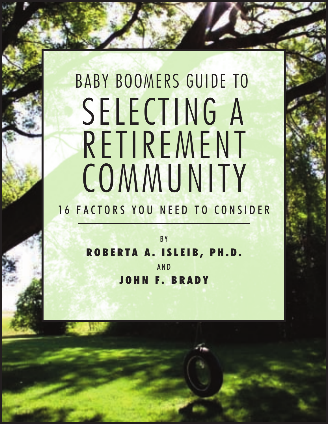# BABY BOOMERS GUIDE TO SELECTING A RETIREMENT **COMMUNITY**

# 16 FACTORS YOU NEED TO CONSIDER

**BY R O B E R T A A . I S L E I B , P H . D .** A N D **J O H N F . B R A D Y**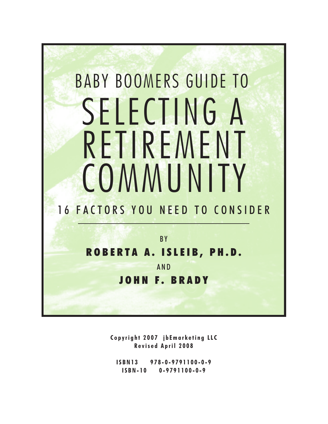

**C o p yr i g h t 2 0 0 7 j b Ema r k e t i n g LL C R e vis e d A p r i l 2 0 0 8**

**IS B N 1 3 9 7 8 - 0 - 9 7 9 1 1 0 0 - 0 - 9 IS B N - 1 0 0 - 9 7 9 1 1 0 0 - 0 - 9**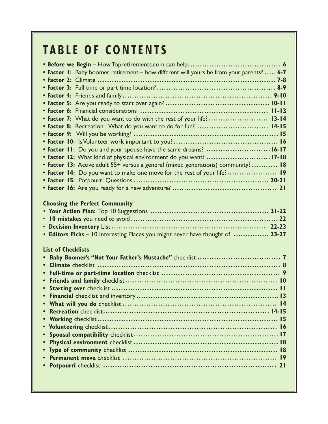# **T A B LE O F C O N TE N TS**

| • Factor 1: Baby boomer retirement - how different will yours be from your parents?  6-7 |
|------------------------------------------------------------------------------------------|
|                                                                                          |
|                                                                                          |
|                                                                                          |
|                                                                                          |
|                                                                                          |
| • Factor 7: What do you want to do with the rest of your life?  13-14                    |
| • Factor 8: Recreation - What do you want to do for fun?  14-15                          |
|                                                                                          |
|                                                                                          |
| • Factor 11: Do you and your spouse have the same dreams? 16-17                          |
| • Factor 12: What kind of physical environment do you want? 17-18                        |
| • Factor 13: Active adult 55+ versus a general (mixed generations) community?  18        |
| • Factor 14: Do you want to make one move for the rest of your life? 19                  |
|                                                                                          |
|                                                                                          |
| <b>Choosing the Perfect Community</b>                                                    |
| • Editors Picks - 10 Interesting Places you might never have thought of  23-27           |
| <b>List of Checklists</b>                                                                |
|                                                                                          |
|                                                                                          |
|                                                                                          |
| $\bullet$                                                                                |
|                                                                                          |
|                                                                                          |
|                                                                                          |
|                                                                                          |
|                                                                                          |
|                                                                                          |
|                                                                                          |
| $\bullet$                                                                                |
|                                                                                          |
|                                                                                          |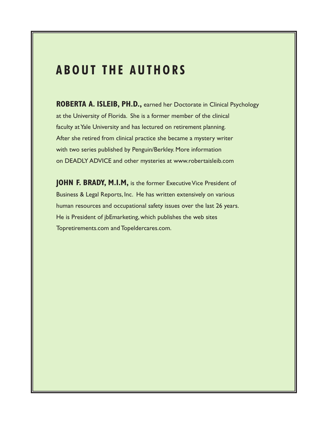## **A B O U T T H E A U T H O R S**

**ROBERTA A. ISLEIB, PH.D.,** earned her Doctorate in Clinical Psychology at the University of Florida. She is a former member of the clinical faculty at Yale University and has lectured on retirement planning. After she retired from clinical practice she became a mystery writer with two series published by Penguin/Berkley. More information on DEADLY ADVICE and other mysteries at www.robertaisleib.com

**JOHN F. BRADY, M.I.M,** is the former Executive Vice President of Business & Legal Reports, Inc. He has written extensively on various human resources and occupational safety issues over the last 26 years. He is President of jbEmarketing, which publishes the web sites Topretirements.com and Topeldercares.com.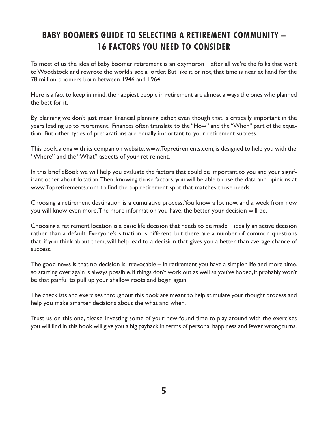## **BABY BOOMERS GUIDE TO SELECTING A RETIREMENT COMMUNITY – 16 FACTORS YOU NEED TO CONSIDER**

To most of us the idea of baby boomer retirement is an oxymoron – after all we're the folks that went toWoodstock and rewrote the world's social order. But like it or not, that time is near at hand for the 78 million boomers born between 1946 and 1964.

Here is a fact to keep in mind: the happiest people in retirement are almost always the ones who planned the best for it.

By planning we don't just mean financial planning either, even though that is critically important in the years leading up to retirement. Finances often translate to the "How" and the "When" part of the equation. But other types of preparations are equally important to your retirement success.

This book, along with its companion website,www.Topretirements.com, is designed to help you with the "Where" and the "What" aspects of your retirement.

In this brief eBook we will help you evaluate the factors that could be important to you and your significant other about location.Then, knowing those factors, you will be able to use the data and opinions at www.Topretirements.com to find the top retirement spot that matches those needs.

Choosing a retirement destination is a cumulative process.You know a lot now, and a week from now you will know even more.The more information you have, the better your decision will be.

Choosing a retirement location is a basic life decision that needs to be made – ideally an active decision rather than a default. Everyone's situation is different, but there are a number of common questions that, if you think about them, will help lead to a decision that gives you a better than average chance of success.

The good news is that no decision is irrevocable – in retirement you have a simpler life and more time, so starting over again is always possible. If things don't work out as well as you've hoped, it probably won't be that painful to pull up your shallow roots and begin again.

The checklists and exercises throughout this book are meant to help stimulate your thought process and help you make smarter decisions about the what and when.

Trust us on this one, please: investing some of your new-found time to play around with the exercises you will find in this book will give you a big payback in terms of personal happiness and fewer wrong turns.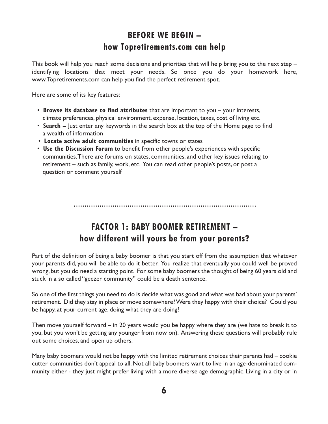## **BEFORE WE BEGIN – how Topretirements.com can help**

This book will help you reach some decisions and priorities that will help bring you to the next step – identifying locations that meet your needs. So once you do your homework here, www.Topretirements.com can help you find the perfect retirement spot.

Here are some of its key features:

- **Browse its database to find attributes** that are important to you your interests, climate preferences, physical environment, expense, location, taxes, cost of living etc.
- **Search –** Just enter any keywords in the search box at the top of the Home page to find a wealth of information
- **Locate active adult communities** in specific towns or states
- **Use the Discussion Forum** to benefit from other people's experiences with specific communities.There are forums on states, communities, and other key issues relating to retirement – such as family, work, etc. You can read other people's posts, or post a question or comment yourself

## **FACTOR 1: BABY BOOMER RETIREMENT – how different will yours be from your parents?**

Part of the definition of being a baby boomer is that you start off from the assumption that whatever your parents did, you will be able to do it better. You realize that eventually you could well be proved wrong, but you do need a starting point. For some baby boomers the thought of being 60 years old and stuck in a so called "geezer community" could be a death sentence.

So one of the first things you need to do is decide what was good and what was bad about your parents' retirement. Did they stay in place or move somewhere?Were they happy with their choice? Could you be happy, at your current age, doing what they are doing?

Then move yourself forward – in 20 years would you be happy where they are (we hate to break it to you, but you won't be getting any younger from now on). Answering these questions will probably rule out some choices, and open up others.

Many baby boomers would not be happy with the limited retirement choices their parents had – cookie cutter communities don't appeal to all. Not all baby boomers want to live in an age-denominated community either - they just might prefer living with a more diverse age demographic. Living in a city or in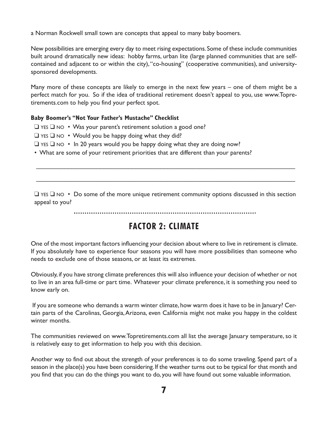a Norman Rockwell small town are concepts that appeal to many baby boomers.

New possibilities are emerging every day to meet rising expectations. Some of these include communities built around dramatically new ideas: hobby farms, urban lite (large planned communities that are selfcontained and adjacent to or within the city),"co-housing" (cooperative communities), and universitysponsored developments.

Many more of these concepts are likely to emerge in the next few years – one of them might be a perfect match for you. So if the idea of traditional retirement doesn't appeal to you, use www.Topretirements.com to help you find your perfect spot.

#### **Baby Boomer's "Not Your Father's Mustache" Checklist**

- ❑ YES ❑ NO Was your parent's retirement solution a good one?
- $\Box$  YES  $\Box$  NO Would you be happy doing what they did?
- ❑ YES ❑ NO In 20 years would you be happy doing what they are doing now?
- What are some of your retirement priorities that are different than your parents?

❑ YES ❑ NO • Do some of the more unique retirement community options discussed in this section appeal to you?

 $\mathcal{L}_\text{G}$  , and the contribution of the contribution of the contribution of the contribution of the contribution of the contribution of the contribution of the contribution of the contribution of the contribution of t

 $\mathcal{L}_\text{G}$  , and the contribution of the contribution of the contribution of the contribution of the contribution of the contribution of the contribution of the contribution of the contribution of the contribution of t

## **FACTOR 2: CLIMATE**

One of the most important factors influencing your decision about where to live in retirement is climate. If you absolutely have to experience four seasons you will have more possibilities than someone who needs to exclude one of those seasons, or at least its extremes.

Obviously, if you have strong climate preferences this will also influence your decision of whether or not to live in an area full-time or part time. Whatever your climate preference, it is something you need to know early on.

If you are someone who demands a warm winter climate, how warm does it have to be in January? Certain parts of the Carolinas, Georgia, Arizona, even California might not make you happy in the coldest winter months.

The communities reviewed on www.Topretirements.com all list the average January temperature, so it is relatively easy to get information to help you with this decision.

Another way to find out about the strength of your preferences is to do some traveling. Spend part of a season in the place(s) you have been considering. If the weather turns out to be typical for that month and you find that you can do the things you want to do, you will have found out some valuable information.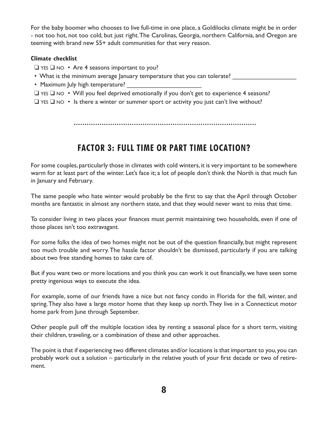For the baby boomer who chooses to live full-time in one place, a Goldilocks climate might be in order - not too hot, not too cold, but just right.The Carolinas, Georgia, northern California, and Oregon are teeming with brand new 55+ adult communities for that very reason.

#### **Climate checklist**

- ❑ YES ❑ NO Are 4 seasons important to you?
- What is the minimum average January temperature that you can tolerate?
- Maximum July high temperature?
- ❑ YES ❑ NO Will you feel deprived emotionally if you don't get to experience 4 seasons?
- $\Box$  YES  $\Box$  NO Is there a winter or summer sport or activity you just can't live without?

## **FACTOR 3: FULL TIME OR PART TIME LOCATION?**

For some couples, particularly those in climates with cold winters, it is very important to be somewhere warm for at least part of the winter. Let's face it; a lot of people don't think the North is that much fun in January and February.

The same people who hate winter would probably be the first to say that the April through October months are fantastic in almost any northern state, and that they would never want to miss that time.

To consider living in two places your finances must permit maintaining two households, even if one of those places isn't too extravagant.

For some folks the idea of two homes might not be out of the question financially, but might represent too much trouble and worry.The hassle factor shouldn't be dismissed, particularly if you are talking about two free standing homes to take care of.

But if you want two or more locations and you think you can work it out financially, we have seen some pretty ingenious ways to execute the idea.

For example, some of our friends have a nice but not fancy condo in Florida for the fall, winter, and spring.They also have a large motor home that they keep up north.They live in a Connecticut motor home park from June through September.

Other people pull off the multiple location idea by renting a seasonal place for a short term, visiting their children, traveling, or a combination of these and other approaches.

The point is that if experiencing two different climates and/or locations is that important to you, you can probably work out a solution – particularly in the relative youth of your first decade or two of retirement.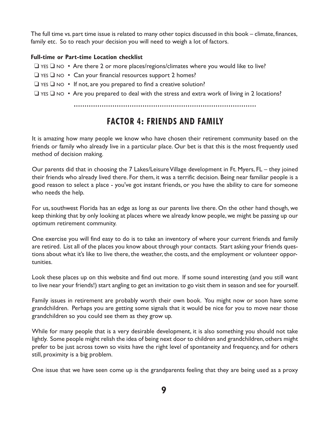The full time vs. part time issue is related to many other topics discussed in this book – climate, finances, family etc. So to reach your decision you will need to weigh a lot of factors.

#### **Full-time or Part-time Location checklist**

- $\Box$  YES  $\Box$  NO Are there 2 or more places/regions/climates where you would like to live?
- ❑ YES ❑ NO Can your financial resources support 2 homes?
- $\Box$  YES  $\Box$  NO If not, are you prepared to find a creative solution?
- ❑ YES ❑ NO Are you prepared to deal with the stress and extra work of living in 2 locations?

## **FACTOR 4: FRIENDS AND FAMILY**

It is amazing how many people we know who have chosen their retirement community based on the friends or family who already live in a particular place. Our bet is that this is the most frequently used method of decision making.

Our parents did that in choosing the 7 Lakes/Leisure Village development in Ft. Myers, FL – they joined their friends who already lived there. For them, it was a terrific decision. Being near familiar people is a good reason to select a place - you've got instant friends, or you have the ability to care for someone who needs the help.

For us, southwest Florida has an edge as long as our parents live there. On the other hand though, we keep thinking that by only looking at places where we already know people, we might be passing up our optimum retirement community.

One exercise you will find easy to do is to take an inventory of where your current friends and family are retired. List all of the places you know about through your contacts. Start asking your friends questions about what it's like to live there, the weather, the costs, and the employment or volunteer opportunities.

Look these places up on this website and find out more. If some sound interesting (and you still want to live near your friends!) start angling to get an invitation to go visit them in season and see for yourself.

Family issues in retirement are probably worth their own book. You might now or soon have some grandchildren. Perhaps you are getting some signals that it would be nice for you to move near those grandchildren so you could see them as they grow up.

While for many people that is a very desirable development, it is also something you should not take lightly. Some people might relish the idea of being next door to children and grandchildren, others might prefer to be just across town so visits have the right level of spontaneity and frequency, and for others still, proximity is a big problem.

One issue that we have seen come up is the grandparents feeling that they are being used as a proxy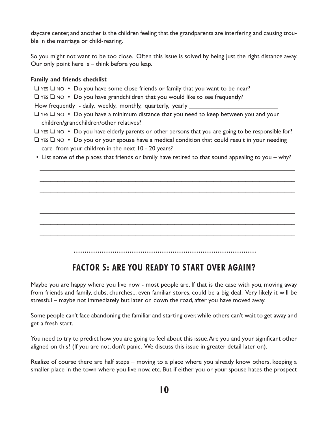daycare center, and another is the children feeling that the grandparents are interfering and causing trouble in the marriage or child-rearing.

So you might not want to be too close. Often this issue is solved by being just the right distance away. Our only point here is – think before you leap.

#### **Family and friends checklist**

- $\Box$  YES  $\Box$  NO Do you have some close friends or family that you want to be near?
- $\Box$  YES  $\Box$  NO Do you have grandchildren that you would like to see frequently?

How frequently - daily, weekly, monthly, quarterly, yearly

- ❑ YES ❑ NO Do you have a minimum distance that you need to keep between you and your children/grandchildren/other relatives?
- $\Box$  YES  $\Box$  NO Do you have elderly parents or other persons that you are going to be responsible for?
- $\Box$  YES  $\Box$  NO Do you or your spouse have a medical condition that could result in your needing care from your children in the next 10 - 20 years?
- List some of the places that friends or family have retired to that sound appealing to you why?

 $\mathcal{L}_\text{G}$  , and the contribution of the contribution of the contribution of the contribution of the contribution of the contribution of the contribution of the contribution of the contribution of the contribution of t

 $\mathcal{L}_\text{G}$  , and the contribution of the contribution of the contribution of the contribution of the contribution of the contribution of the contribution of the contribution of the contribution of the contribution of t

 $\mathcal{L}_\text{G}$  , and the contribution of the contribution of the contribution of the contribution of the contribution of the contribution of the contribution of the contribution of the contribution of the contribution of t

 $\mathcal{L}_\text{G}$  , and the contribution of the contribution of the contribution of the contribution of the contribution of the contribution of the contribution of the contribution of the contribution of the contribution of t

 $\mathcal{L}_\text{G}$  , and the contribution of the contribution of the contribution of the contribution of the contribution of the contribution of the contribution of the contribution of the contribution of the contribution of t

 $\mathcal{L}_\text{G}$  , and the contribution of the contribution of the contribution of the contribution of the contribution of the contribution of the contribution of the contribution of the contribution of the contribution of t

 $\mathcal{L}_\text{G}$  , and the contribution of the contribution of the contribution of the contribution of the contribution of the contribution of the contribution of the contribution of the contribution of the contribution of t

## **FACTOR 5: ARE YOU READY TO START OVER AGAIN?**

Maybe you are happy where you live now - most people are. If that is the case with you, moving away from friends and family, clubs, churches... even familiar stores, could be a big deal. Very likely it will be stressful – maybe not immediately but later on down the road, after you have moved away.

Some people can't face abandoning the familiar and starting over, while others can't wait to get away and get a fresh start.

You need to try to predict how you are going to feel about this issue.Are you and your significant other aligned on this? (If you are not, don't panic. We discuss this issue in greater detail later on).

Realize of course there are half steps – moving to a place where you already know others, keeping a smaller place in the town where you live now, etc. But if either you or your spouse hates the prospect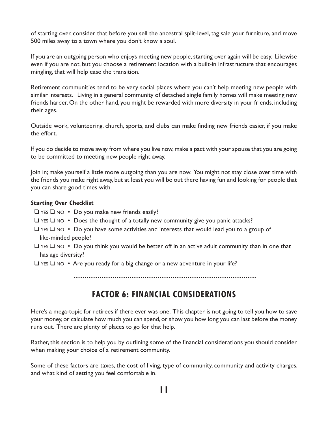of starting over, consider that before you sell the ancestral split-level, tag sale your furniture, and move 500 miles away to a town where you don't know a soul.

If you are an outgoing person who enjoys meeting new people, starting over again will be easy. Likewise even if you are not, but you choose a retirement location with a built-in infrastructure that encourages mingling, that will help ease the transition.

Retirement communities tend to be very social places where you can't help meeting new people with similar interests. Living in a general community of detached single family homes will make meeting new friends harder. On the other hand, you might be rewarded with more diversity in your friends, including their ages.

Outside work, volunteering, church, sports, and clubs can make finding new friends easier, if you make the effort.

If you do decide to move away from where you live now, make a pact with your spouse that you are going to be committed to meeting new people right away.

Join in; make yourself a little more outgoing than you are now. You might not stay close over time with the friends you make right away, but at least you will be out there having fun and looking for people that you can share good times with.

#### **Starting Over Checklist**

- ❑ YES ❑ NO Do you make new friends easily?
- $\Box$  YES  $\Box$  NO Does the thought of a totally new community give you panic attacks?
- ❑ YES ❑ NO Do you have some activities and interests that would lead you to a group of like-minded people?
- $\Box$  YES  $\Box$  NO Do you think you would be better off in an active adult community than in one that has age diversity?
- $\Box$  YES  $\Box$  NO Are you ready for a big change or a new adventure in your life?

## **FACTOR 6: FINANCIAL CONSIDERATIONS**

Here's a mega-topic for retirees if there ever was one. This chapter is not going to tell you how to save your money, or calculate how much you can spend, or show you how long you can last before the money runs out. There are plenty of places to go for that help.

Rather, this section is to help you by outlining some of the financial considerations you should consider when making your choice of a retirement community.

Some of these factors are taxes, the cost of living, type of community, community and activity charges, and what kind of setting you feel comfortable in.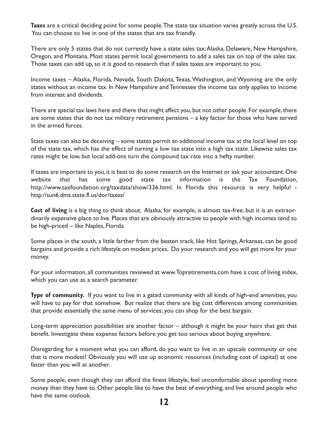**Taxes** are a critical deciding point for some people.The state tax situation varies greatly across the U.S. You can choose to live in one of the states that are tax friendly.

There are only 5 states that do not currently have a state sales tax:Alaska, Delaware, New Hampshire, Oregon, and Montana. Most states permit local governments to add a sales tax on top of the sales tax. Those taxes can add up, so it is good to research that if sales taxes are important to you.

Income taxes – Alaska, Florida, Nevada, South Dakota, Texas, Washington, and Wyoming are the only states without an income tax. In New Hampshire and Tennessee the income tax only applies to income from interest and dividends.

There are special tax laws here and there that might affect you, but not other people. For example, there are some states that do not tax military retirement pensions – a key factor for those who have served in the armed forces.

State taxes can also be deceiving – some states permit an additional income tax at the local level on top of the state tax, which has the effect of turning a low tax state into a high tax state. Likewise sales tax rates might be low, but local add-ons turn the compound tax rate into a hefty number.

If taxes are important to you, it is best to do some research on the Internet or ask your accountant.One website that has some good state tax information is the Tax Foundation, http://www.taxfoundation.org/taxdata/show/336.html. In Florida this resource is very helpful http://sun6.dms.state.fl.us/dor/taxes/

**Cost of living** is a big thing to think about. Alaska, for example, is almost tax-free, but it is an extraordinarily expensive place to live. Places that are obviously attractive to people with high incomes tend to be high-priced – like Naples, Florida.

Some places in the south, a little farther from the beaten track, like Hot Springs,Arkansas, can be good bargains and provide a rich lifestyle on modest prices. Do your research and you will get more for your money.

For your information, all communities reviewed at www.Topretirements.com have a cost of living index, which you can use as a search parameter.

**Type of community.** If you want to live in a gated community with all kinds of high-end amenities, you will have to pay for that somehow. But realize that there are big cost differences among communities that provide essentially the same menu of services; you can shop for the best bargain.

Long-term appreciation possibilities are another factor – although it might be your heirs that get that benefit. Investigate these expense factors before you get too serious about buying anywhere.

Disregarding for a moment what you can afford, do you want to live in an upscale community or one that is more modest? Obviously you will use up economic resources (including cost of capital) at one faster than you will at another.

Some people, even though they can afford the finest lifestyle, feel uncomfortable about spending more money than they have to. Other people like to have the best of everything, and live around people who have the same outlook.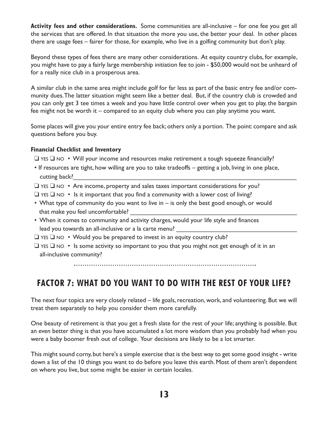**Activity fees and other considerations.** Some communities are all-inclusive – for one fee you get all the services that are offered. In that situation the more you use, the better your deal. In other places there are usage fees – fairer for those, for example, who live in a golfing community but don't play.

Beyond these types of fees there are many other considerations. At equity country clubs, for example, you might have to pay a fairly large membership initiation fee to join - \$50,000 would not be unheard of for a really nice club in a prosperous area.

A similar club in the same area might include golf for far less as part of the basic entry fee and/or community dues.The latter situation might seem like a better deal. But, if the country club is crowded and you can only get 3 tee times a week and you have little control over when you get to play, the bargain fee might not be worth it – compared to an equity club where you can play anytime you want.

Some places will give you your entire entry fee back; others only a portion. The point: compare and ask questions before you buy.

#### **Financial Checklist and Inventory**

❑ YES ❑ NO • Will your income and resources make retirement a tough squeeze financially?

- If resources are tight, how willing are you to take tradeoffs getting a job, living in one place, cutting back?
- ❑ YES ❑ NO Are income, property and sales taxes important considerations for you?
- $\Box$  YES  $\Box$  NO Is it important that you find a community with a lower cost of living?
- What type of community do you want to live in is only the best good enough, or would that make you feel uncomfortable?
- When it comes to community and activity charges, would your life style and finances lead you towards an all-inclusive or a la carte menu?

❑ YES ❑ NO • Would you be prepared to invest in an equity country club?

❑ YES ❑ NO • Is some activity so important to you that you might not get enough of it in an all-inclusive community?

## **FACTOR 7: WHAT DO YOU WANT TO DO WITH THE REST OF YOUR LIFE?**

The next four topics are very closely related – life goals, recreation, work, and volunteering. But we will treat them separately to help you consider them more carefully.

One beauty of retirement is that you get a fresh slate for the rest of your life; anything is possible. But an even better thing is that you have accumulated a lot more wisdom than you probably had when you were a baby boomer fresh out of college. Your decisions are likely to be a lot smarter.

This might sound corny, but here's a simple exercise that is the best way to get some good insight - write down a list of the 10 things you want to do before you leave this earth. Most of them aren't dependent on where you live, but some might be easier in certain locales.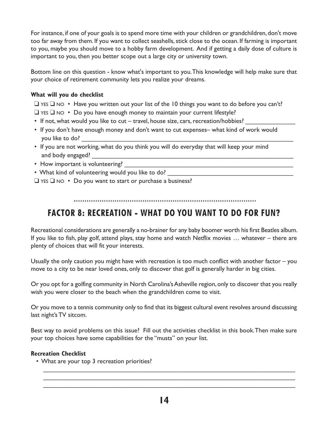For instance, if one of your goals is to spend more time with your children or grandchildren, don't move too far away from them. If you want to collect seashells, stick close to the ocean. If farming is important to you, maybe you should move to a hobby farm development. And if getting a daily dose of culture is important to you, then you better scope out a large city or university town.

Bottom line on this question - know what's important to you.This knowledge will help make sure that your choice of retirement community lets you realize your dreams.

#### **What will you do checklist**

- ❑ YES ❑ NO Have you written out your list of the 10 things you want to do before you can't?
- $\Box$  YES  $\Box$  NO Do you have enough money to maintain your current lifestyle?
- If not, what would you like to cut travel, house size, cars, recreation/hobbies?
- If you don't have enough money and don't want to cut expenses– what kind of work would you like to do? \_\_\_\_\_\_\_\_\_\_\_\_\_\_\_\_\_\_\_\_\_\_\_\_\_\_\_\_\_\_\_\_\_\_\_\_\_\_\_\_\_\_\_\_\_\_\_\_\_\_\_\_\_\_\_\_\_\_\_\_
- If you are not working, what do you think you will do everyday that will keep your mind and body engaged?
- How important is volunteering? The state of the state of the state of the state of the state of the state of the state of the state of the state of the state of the state of the state of the state of the state of the sta
- What kind of volunteering would you like to do?
- ❑ YES ❑ NO Do you want to start or purchase a business?

## **FACTOR 8: RECREATION - WHAT DO YOU WANT TO DO FOR FUN?**

Recreational considerations are generally a no-brainer for any baby boomer worth his first Beatles album. If you like to fish, play golf, attend plays, stay home and watch Netflix movies … whatever – there are plenty of choices that will fit your interests.

Usually the only caution you might have with recreation is too much conflict with another factor – you move to a city to be near loved ones, only to discover that golf is generally harder in big cities.

Or you opt for a golfing community in North Carolina's Asheville region, only to discover that you really wish you were closer to the beach when the grandchildren come to visit.

Or you move to a tennis community only to find that its biggest cultural event revolves around discussing last night's TV sitcom.

Best way to avoid problems on this issue? Fill out the activities checklist in this book.Then make sure your top choices have some capabilities for the "musts" on your list.

#### **Recreation Checklist**

• What are your top 3 recreation priorities?

 $\mathcal{L}_\mathcal{L} = \{ \mathcal{L}_\mathcal{L} = \{ \mathcal{L}_\mathcal{L} = \{ \mathcal{L}_\mathcal{L} = \{ \mathcal{L}_\mathcal{L} = \{ \mathcal{L}_\mathcal{L} = \{ \mathcal{L}_\mathcal{L} = \{ \mathcal{L}_\mathcal{L} = \{ \mathcal{L}_\mathcal{L} = \{ \mathcal{L}_\mathcal{L} = \{ \mathcal{L}_\mathcal{L} = \{ \mathcal{L}_\mathcal{L} = \{ \mathcal{L}_\mathcal{L} = \{ \mathcal{L}_\mathcal{L} = \{ \mathcal{L}_\mathcal{$ \_\_\_\_\_\_\_\_\_\_\_\_\_\_\_\_\_\_\_\_\_\_\_\_\_\_\_\_\_\_\_\_\_\_\_\_\_\_\_\_\_\_\_\_\_\_\_\_\_\_\_\_\_\_\_\_\_\_\_\_\_\_\_\_\_\_\_\_\_\_\_ \_\_\_\_\_\_\_\_\_\_\_\_\_\_\_\_\_\_\_\_\_\_\_\_\_\_\_\_\_\_\_\_\_\_\_\_\_\_\_\_\_\_\_\_\_\_\_\_\_\_\_\_\_\_\_\_\_\_\_\_\_\_\_\_\_\_\_\_\_\_\_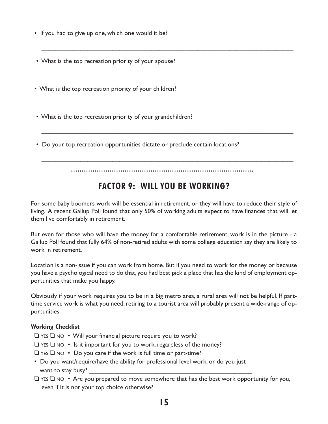- If you had to give up one, which one would it be?
- What is the top recreation priority of your spouse?
- What is the top recreation priority of your children?
- What is the top recreation priority of your grandchildren?
- Do your top recreation opportunities dictate or preclude certain locations?

\_\_\_\_\_\_\_\_\_\_\_\_\_\_\_\_\_\_\_\_\_\_\_\_\_\_\_\_\_\_\_\_\_\_\_\_\_\_\_\_\_\_\_\_\_\_\_\_\_\_\_\_\_\_\_\_\_\_\_\_\_\_\_\_\_\_\_\_\_\_\_

\_\_\_\_\_\_\_\_\_\_\_\_\_\_\_\_\_\_\_\_\_\_\_\_\_\_\_\_\_\_\_\_\_\_\_\_\_\_\_\_\_\_\_\_\_\_\_\_\_\_\_\_\_\_\_\_\_\_\_\_\_\_\_\_\_\_\_\_\_\_\_

\_\_\_\_\_\_\_\_\_\_\_\_\_\_\_\_\_\_\_\_\_\_\_\_\_\_\_\_\_\_\_\_\_\_\_\_\_\_\_\_\_\_\_\_\_\_\_\_\_\_\_\_\_\_\_\_\_\_\_\_\_\_\_\_\_\_\_\_\_\_\_

\_\_\_\_\_\_\_\_\_\_\_\_\_\_\_\_\_\_\_\_\_\_\_\_\_\_\_\_\_\_\_\_\_\_\_\_\_\_\_\_\_\_\_\_\_\_\_\_\_\_\_\_\_\_\_\_\_\_\_\_\_\_\_\_\_\_\_\_\_\_\_

\_\_\_\_\_\_\_\_\_\_\_\_\_\_\_\_\_\_\_\_\_\_\_\_\_\_\_\_\_\_\_\_\_\_\_\_\_\_\_\_\_\_\_\_\_\_\_\_\_\_\_\_\_\_\_\_\_\_\_\_\_\_\_\_\_\_\_\_\_\_\_

## **FACTOR 9: WILL YOU BE WORKING?**

For some baby boomers work will be essential in retirement, or they will have to reduce their style of living. A recent Gallup Poll found that only 50% of working adults expect to have finances that will let them live comfortably in retirement.

But even for those who will have the money for a comfortable retirement, work is in the picture - a Gallup Poll found that fully 64% of non-retired adults with some college education say they are likely to work in retirement.

Location is a non-issue if you can work from home. But if you need to work for the money or because you have a psychological need to do that, you had best pick a place that has the kind of employment opportunities that make you happy.

Obviously if your work requires you to be in a big metro area, a rural area will not be helpful. If parttime service work is what you need, retiring to a tourist area will probably present a wide-range of opportunities.

#### **Working Checklist**

- ❑ YES ❑ NO Will your financial picture require you to work?
- $\Box$  YES  $\Box$  NO Is it important for you to work, regardless of the money?
- ❑ YES ❑ NO Do you care if the work is full time or part-time?
- Do you want/require/have the ability for professional level work, or do you just want to stay busy?
- $\Box$  YES  $\Box$  NO Are you prepared to move somewhere that has the best work opportunity for you, even if it is not your top choice otherwise?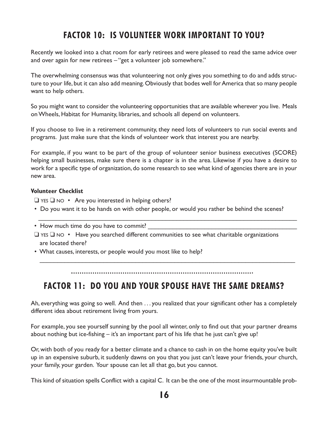## **FACTOR 10: IS VOLUNTEER WORK IMPORTANT TO YOU?**

Recently we looked into a chat room for early retirees and were pleased to read the same advice over and over again for new retirees – "get a volunteer job somewhere."

The overwhelming consensus was that volunteering not only gives you something to do and adds structure to your life, but it can also add meaning.Obviously that bodes well forAmerica that so many people want to help others.

So you might want to consider the volunteering opportunities that are available wherever you live. Meals onWheels, Habitat for Humanity, libraries, and schools all depend on volunteers.

If you choose to live in a retirement community, they need lots of volunteers to run social events and programs. Just make sure that the kinds of volunteer work that interest you are nearby.

For example, if you want to be part of the group of volunteer senior business executives (SCORE) helping small businesses, make sure there is a chapter is in the area. Likewise if you have a desire to work for a specific type of organization, do some research to see what kind of agencies there are in your new area.

#### **Volunteer Checklist**

 $\Box$  YES  $\Box$  NO • Are you interested in helping others?

• Do you want it to be hands on with other people, or would you rather be behind the scenes?

 $\mathcal{L}_\mathcal{L} = \{ \mathcal{L}_\mathcal{L} = \{ \mathcal{L}_\mathcal{L} = \{ \mathcal{L}_\mathcal{L} = \{ \mathcal{L}_\mathcal{L} = \{ \mathcal{L}_\mathcal{L} = \{ \mathcal{L}_\mathcal{L} = \{ \mathcal{L}_\mathcal{L} = \{ \mathcal{L}_\mathcal{L} = \{ \mathcal{L}_\mathcal{L} = \{ \mathcal{L}_\mathcal{L} = \{ \mathcal{L}_\mathcal{L} = \{ \mathcal{L}_\mathcal{L} = \{ \mathcal{L}_\mathcal{L} = \{ \mathcal{L}_\mathcal{$ 

• How much time do you have to commit?

- ❑ YES ❑ NO Have you searched different communities to see what charitable organizations are located there?
- What causes, interests, or people would you most like to help?

 $\mathcal{L}_\text{G}$  , and the contribution of the contribution of the contribution of the contribution of the contribution of the contribution of the contribution of the contribution of the contribution of the contribution of t

## **FACTOR 11: DO YOU AND YOUR SPOUSE HAVE THE SAME DREAMS?**

Ah, everything was going so well. And then . . . you realized that your significant other has a completely different idea about retirement living from yours.

For example, you see yourself sunning by the pool all winter, only to find out that your partner dreams about nothing but ice-fishing – it's an important part of his life that he just can't give up!

Or, with both of you ready for a better climate and a chance to cash in on the home equity you've built up in an expensive suburb, it suddenly dawns on you that you just can't leave your friends, your church, your family, your garden. Your spouse can let all that go, but you cannot.

This kind of situation spells Conflict with a capital C. It can be the one of the most insurmountable prob-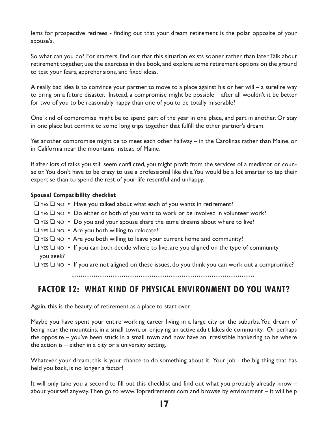lems for prospective retirees - finding out that your dream retirement is the polar opposite of your spouse's.

So what can you do? For starters, find out that this situation exists sooner rather than later.Talk about retirement together, use the exercises in this book, and explore some retirement options on the ground to test your fears, apprehensions, and fixed ideas.

A really bad idea is to convince your partner to move to a place against his or her will – a surefire way to bring on a future disaster. Instead, a compromise might be possible – after all wouldn't it be better for two of you to be reasonably happy than one of you to be totally miserable?

One kind of compromise might be to spend part of the year in one place, and part in another. Or stay in one place but commit to some long trips together that fulfill the other partner's dream.

Yet another compromise might be to meet each other halfway – in the Carolinas rather than Maine, or in California near the mountains instead of Maine.

If after lots of talks you still seem conflicted, you might profit from the services of a mediator or counselor. You don't have to be crazy to use a professional like this. You would be a lot smarter to tap their expertise than to spend the rest of your life resentful and unhappy.

#### **Spousal Compatibility checklist**

- ❑ YES ❑ NO Have you talked about what each of you wants in retirement?
- ❑ YES ❑ NO Do either or both of you want to work or be involved in volunteer work?
- $\Box$  YES  $\Box$  NO Do you and your spouse share the same dreams about where to live?
- ❑ YES ❑ NO Are you both willing to relocate?
- ❑ YES ❑ NO Are you both willing to leave your current home and community?
- $\Box$  YES  $\Box$  NO If you can both decide where to live, are you aligned on the type of community you seek?
- ❑ YES ❑ NO If you are not aligned on these issues, do you think you can work out a compromise?

## **FACTOR 12: WHAT KIND OF PHYSICAL ENVIRONMENT DO YOU WANT?**

Again, this is the beauty of retirement as a place to start over.

Maybe you have spent your entire working career living in a large city or the suburbs.You dream of being near the mountains, in a small town, or enjoying an active adult lakeside community. Or perhaps the opposite – you've been stuck in a small town and now have an irresistible hankering to be where the action is  $-$  either in a city or a university setting.

Whatever your dream, this is your chance to do something about it. Your job - the big thing that has held you back, is no longer a factor!

It will only take you a second to fill out this checklist and find out what you probably already know – about yourself anyway.Then go to www.Topretirements.com and browse by environment – it will help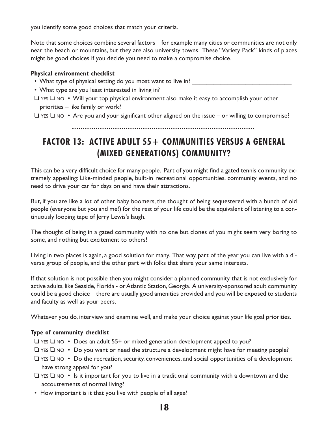you identify some good choices that match your criteria.

Note that some choices combine several factors – for example many cities or communities are not only near the beach or mountains, but they are also university towns. These "Variety Pack" kinds of places might be good choices if you decide you need to make a compromise choice.

#### **Physical environment checklist**

- What type of physical setting do you most want to live in? \_\_\_\_\_\_\_\_\_\_\_\_\_\_\_\_\_\_\_
- What type are you least interested in living in?
- ❑ YES ❑ NO Will your top physical environment also make it easy to accomplish your other priorities – like family or work?
- $\Box$  YES  $\Box$  NO Are you and your significant other aligned on the issue or willing to compromise?

## **FACTOR 13: ACTIVE ADULT 55+ COMMUNITIES VERSUS A GENERAL (MIXED GENERATIONS) COMMUNITY?**

This can be a very difficult choice for many people. Part of you might find a gated tennis community extremely appealing: Like-minded people, built-in recreational opportunities, community events, and no need to drive your car for days on end have their attractions.

But, if you are like a lot of other baby boomers, the thought of being sequestered with a bunch of old people (everyone but you and me!) for the rest of your life could be the equivalent of listening to a continuously looping tape of Jerry Lewis's laugh.

The thought of being in a gated community with no one but clones of you might seem very boring to some, and nothing but excitement to others!

Living in two places is again, a good solution for many. That way, part of the year you can live with a diverse group of people, and the other part with folks that share your same interests.

If that solution is not possible then you might consider a planned community that is not exclusively for active adults, like Seaside, Florida - or Atlantic Station, Georgia. A university-sponsored adult community could be a good choice – there are usually good amenities provided and you will be exposed to students and faculty as well as your peers.

Whatever you do, interview and examine well, and make your choice against your life goal priorities.

#### **Type of community checklist**

- ❑ YES ❑ NO Does an adult 55+ or mixed generation development appeal to you?
- ❑ YES ❑ NO Do you want or need the structure a development might have for meeting people?
- ❑ YES ❑ NO Do the recreation,security, conveniences, and social opportunities of a development have strong appeal for you?
- $\Box$  YES  $\Box$  NO Is it important for you to live in a traditional community with a downtown and the accoutrements of normal living?
- How important is it that you live with people of all ages?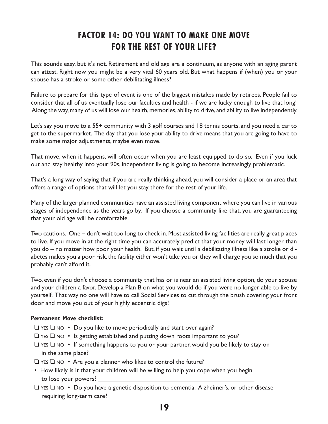## **FACTOR 14: DO YOU WANT TO MAKE ONE MOVE FOR THE REST OF YOUR LIFE?**

This sounds easy, but it's not. Retirement and old age are a continuum, as anyone with an aging parent can attest. Right now you might be a very vital 60 years old. But what happens if (when) you or your spouse has a stroke or some other debilitating illness?

Failure to prepare for this type of event is one of the biggest mistakes made by retirees. People fail to consider that all of us eventually lose our faculties and health - if we are lucky enough to live that long! Along the way, many of us will lose our health, memories, ability to drive, and ability to live independently.

Let's say you move to a 55+ community with 3 golf courses and 18 tennis courts, and you need a car to get to the supermarket. The day that you lose your ability to drive means that you are going to have to make some major adjustments, maybe even move.

That move, when it happens, will often occur when you are least equipped to do so. Even if you luck out and stay healthy into your 90s, independent living is going to become increasingly problematic.

That's a long way of saying that if you are really thinking ahead, you will consider a place or an area that offers a range of options that will let you stay there for the rest of your life.

Many of the larger planned communities have an assisted living component where you can live in various stages of independence as the years go by. If you choose a community like that, you are guaranteeing that your old age will be comfortable.

Two cautions. One – don't wait too long to check in. Most assisted living facilities are really great places to live. If you move in at the right time you can accurately predict that your money will last longer than you do – no matter how poor your health. But, if you wait until a debilitating illness like a stroke or diabetes makes you a poor risk, the facility either won't take you or they will charge you so much that you probably can't afford it.

Two, even if you don't choose a community that has or is near an assisted living option, do your spouse and your children a favor. Develop a Plan B on what you would do if you were no longer able to live by yourself. That way no one will have to call Social Services to cut through the brush covering your front door and move you out of your highly eccentric digs!

#### **Permanent Move checklist:**

- $\Box$  YES  $\Box$  NO Do you like to move periodically and start over again?
- $\Box$  YES  $\Box$  NO Is getting established and putting down roots important to you?
- ❑ YES ❑ NO If something happens to you or your partner, would you be likely to stay on in the same place?
- ❑ YES ❑ NO Are you a planner who likes to control the future?
- How likely is it that your children will be willing to help you cope when you begin to lose your powers?
- ❑ YES ❑ NO Do you have a genetic disposition to dementia, Alzheimer's, or other disease requiring long-term care?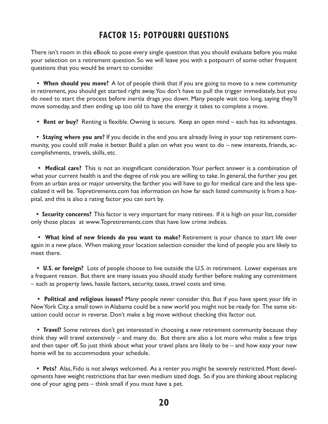## **FACTOR 15: POTPOURRI QUESTIONS**

There isn't room in this eBook to pose every single question that you should evaluate before you make your selection on a retirement question. So we will leave you with a potpourri of some other frequent questions that you would be smart to consider.

**• When should you move?** A lot of people think that if you are going to move to a new community in retirement, you should get started right away.You don't have to pull the trigger immediately, but you do need to start the process before inertia drags you down. Many people wait too long, saying they'll move someday, and then ending up too old to have the energy it takes to complete a move.

**• Rent or buy?** Renting is flexible. Owning is secure. Keep an open mind – each has its advantages.

**• Staying where you are?** If you decide in the end you are already living in your top retirement community, you could still make it better. Build a plan on what you want to do – new interests, friends, accomplishments, travels, skills, etc.

**• Medical care?** This is not an insignificant consideration.Your perfect answer is a combination of what your current health is and the degree of risk you are willing to take. In general, the further you get from an urban area or major university, the farther you will have to go for medical care and the less specialized it will be. Topretirements.com has information on how far each listed community is from a hospital, and this is also a rating factor you can sort by.

**• Security concerns?** This factor is very important for many retirees. If it is high on your list, consider only those places at www.Topretirements.com that have low crime indices.

**• What kind of new friends do you want to make?** Retirement is your chance to start life over again in a new place. When making your location selection consider the kind of people you are likely to meet there.

**• U.S. or foreign?** Lots of people choose to live outside the U.S. in retirement. Lower expenses are a frequent reason. But there are many issues you should study further before making any commitment – such as property laws, hassle factors, security, taxes, travel costs and time.

**• Political and religious issues?** Many people never consider this. But if you have spent your life in NewYork City, a small town inAlabama could be a new world you might not be ready for. The same situation could occur in reverse. Don't make a big move without checking this factor out.

**• Travel?** Some retirees don't get interested in choosing a new retirement community because they think they will travel extensively – and many do. But there are also a lot more who make a few trips and then taper off. So just think about what your travel plans are likely to be – and how easy your new home will be to accommodate your schedule.

**• Pets?** Alas, Fido is not always welcomed. As a renter you might be severely restricted. Most developments have weight restrictions that bar even medium sized dogs. So if you are thinking about replacing one of your aging pets – think small if you must have a pet.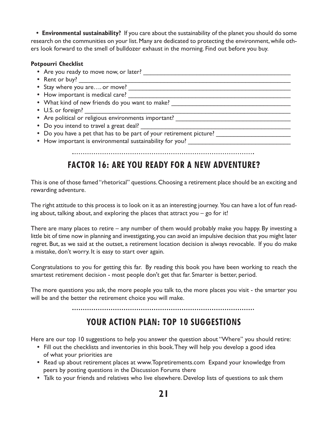**• Environmental sustainability?** If you care about the sustainability of the planet you should do some research on the communities on your list. Many are dedicated to protecting the environment, while others look forward to the smell of bulldozer exhaust in the morning. Find out before you buy.

#### **Potpourri Checklist**

- Are you ready to move now, or later?
- Rent or buy?
- Stay where you are.... or move?
- **•** How important is medical care? \_\_\_\_\_\_\_\_\_\_\_\_\_\_\_\_\_\_\_\_\_\_\_\_\_\_\_\_\_\_\_\_\_\_\_\_\_\_\_\_\_\_\_\_\_\_
- What kind of new friends do you want to make? \_\_\_\_\_\_\_\_\_\_\_\_\_\_\_\_\_\_\_\_\_\_\_\_\_\_\_\_\_\_\_\_
- U.S. or foreign?
- Are political or religious environments important?
- Do you intend to travel a great deal?
- Do you have a pet that has to be part of your retirement picture?
- How important is environmental sustainability for you? \_\_\_\_\_\_\_\_\_\_\_\_\_\_\_\_\_\_\_\_\_\_\_

#### 

## **FACTOR 16: ARE YOU READY FOR A NEW ADVENTURE?**

This is one of those famed "rhetorical" questions.Choosing a retirement place should be an exciting and rewarding adventure.

The right attitude to this process is to look on it as an interesting journey. You can have a lot of fun reading about, talking about, and exploring the places that attract you – go for it!

There are many places to retire – any number of them would probably make you happy. By investing a little bit of time now in planning and investigating, you can avoid an impulsive decision that you might later regret. But, as we said at the outset, a retirement location decision is always revocable. If you do make a mistake, don't worry. It is easy to start over again.

Congratulations to you for getting this far. By reading this book you have been working to reach the smartest retirement decision - most people don't get that far. Smarter is better, period.

The more questions you ask, the more people you talk to, the more places you visit - the smarter you will be and the better the retirement choice you will make.

## **YOUR ACTION PLAN: TOP 10 SUGGESTIONS**

Here are our top 10 suggestions to help you answer the question about "Where" you should retire:

- **•** Fill out the checklists and inventories in this book.They will help you develop a good idea of what your priorities are
- **•** Read up about retirement places at www.Topretirements.com Expand your knowledge from peers by posting questions in the Discussion Forums there
- **•** Talk to your friends and relatives who live elsewhere. Develop lists of questions to ask them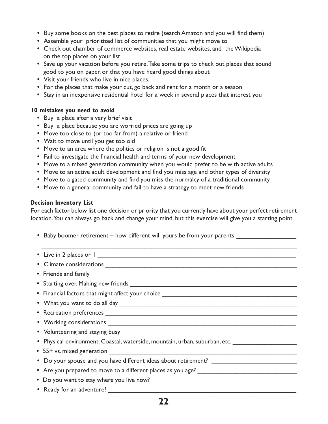- **•** Buy some books on the best places to retire (search Amazon and you will find them)
- **•** Assemble your prioritized list of communities that you might move to
- **•** Check out chamber of commerce websites,real estate websites, and theWikipedia on the top places on your list
- **•** Save up your vacation before you retire.Take some trips to check out places that sound good to you on paper, or that you have heard good things about
- **•** Visit your friends who live in nice places.
- **•** For the places that make your cut, go back and rent for a month or a season
- **•** Stay in an inexpensive residential hotel for a week in several places that interest you

#### **10 mistakes you need to avoid**

- **•** Buy a place after a very brief visit
- **•** Buy a place because you are worried prices are going up
- **•** Move too close to (or too far from) a relative or friend
- **•** Wait to move until you get too old
- **•** Move to an area where the politics or religion is not a good fit
- **•** Fail to investigate the financial health and terms of your new development
- **•** Move to a mixed generation community when you would prefer to be with active adults
- **•** Move to an active adult development and find you miss age and other types of diversity
- **•** Move to a gated community and find you miss the normalcy of a traditional community
- **•** Move to a general community and fail to have a strategy to meet new friends

#### **Decision Inventory List**

For each factor below list one decision or priority that you currently have about your perfect retirement location.You can always go back and change your mind, but this exercise will give you a starting point.

- Baby boomer retirement how different will yours be from your parents
- \_\_\_\_\_\_\_\_\_\_\_\_\_\_\_\_\_\_\_\_\_\_\_\_\_\_\_\_\_\_\_\_\_\_\_\_\_\_\_\_\_\_\_\_\_\_\_\_\_\_\_\_\_\_\_\_\_\_\_\_\_\_\_\_\_\_\_\_\_\_\_\_ **•** Live in 2 places or 1 \_\_\_\_\_\_\_\_\_\_\_\_\_\_\_\_\_\_\_\_\_\_\_\_\_\_\_\_\_\_\_\_\_\_\_\_\_\_\_\_\_\_\_\_\_\_\_\_\_\_\_\_\_\_\_\_ **•** Climate considerations \_\_\_\_\_\_\_\_\_\_\_\_\_\_\_\_\_\_\_\_\_\_\_\_\_\_\_\_\_\_\_\_\_\_\_\_\_\_\_\_\_\_\_\_\_\_\_\_\_\_\_\_\_\_ **•** Friends and family \_\_\_\_\_\_\_\_\_\_\_\_\_\_\_\_\_\_\_\_\_\_\_\_\_\_\_\_\_\_\_\_\_\_\_\_\_\_\_\_\_\_\_\_\_\_\_\_\_\_\_\_\_\_\_\_\_\_ • Starting over, Making new friends **with an all of the contract of the contract of the contract of the contract of the contract of the contract of the contract of the contract of the contract of the contract of the contra** • Financial factors that might affect your choice \_\_\_\_\_\_\_\_\_\_\_\_\_\_\_\_\_\_\_\_\_\_\_\_\_\_\_\_\_\_ • What you want to do all day **with any set of the set of the set of the set of the set of the set of the set of the set of the set of the set of the set of the set of the set of the set of the set of the set of the set of •** Recreation preferences \_\_\_\_\_\_\_\_\_\_\_\_\_\_\_\_\_\_\_\_\_\_\_\_\_\_\_\_\_\_\_\_\_\_\_\_\_\_\_\_\_\_\_\_\_\_\_\_\_\_\_\_\_\_ **•** Working considerations \_\_\_\_\_\_\_\_\_\_\_\_\_\_\_\_\_\_\_\_\_\_\_\_\_\_\_\_\_\_\_\_\_\_\_\_\_\_\_\_\_\_\_\_\_\_\_\_\_\_\_\_\_ • Volunteering and staying busy **with any set of the vertex** • Physical environment: Coastal, waterside, mountain, urban, suburban, etc. \_\_\_\_\_\_\_\_\_\_\_\_\_\_\_\_\_\_\_\_\_\_\_\_\_\_\_\_\_\_\_\_\_\_ **•** 55+ vs.mixed generation \_\_\_\_\_\_\_\_\_\_\_\_\_\_\_\_\_\_\_\_\_\_\_\_\_\_\_\_\_\_\_\_\_\_\_\_\_\_\_\_\_\_\_\_\_\_\_\_\_\_\_\_\_ • Do your spouse and you have different ideas about retirement? \_\_\_\_\_\_\_\_\_\_\_\_\_\_\_\_\_ • Are you prepared to move to a different places as you age? \_\_\_\_\_\_\_\_\_\_\_\_\_\_\_\_\_\_\_ **•** Do you want to stay where you live now? \_\_\_\_\_\_\_\_\_\_\_\_\_\_\_\_\_\_\_\_\_\_\_\_\_\_\_\_\_\_\_\_\_\_\_\_\_\_\_\_\_ **•** Ready for an adventure? \_\_\_\_\_\_\_\_\_\_\_\_\_\_\_\_\_\_\_\_\_\_\_\_\_\_\_\_\_\_\_\_\_\_\_\_\_\_\_\_\_\_\_\_\_\_\_\_\_\_\_\_\_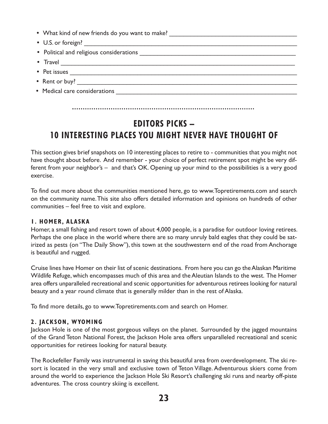| • What kind of new friends do you want to make? |
|-------------------------------------------------|
|                                                 |
|                                                 |
| • Travel $\qquad \qquad$ Travel                 |
|                                                 |
|                                                 |
| • Medical care considerations                   |
|                                                 |

## **EDITORS PICKS – 10 INTERESTING PLACES YOU MIGHT NEVER HAVE THOUGHT OF**

This section gives brief snapshots on 10 interesting places to retire to - communities that you might not have thought about before. And remember - your choice of perfect retirement spot might be very different from your neighbor's – and that's OK. Opening up your mind to the possibilities is a very good exercise.

To find out more about the communities mentioned here, go to www.Topretirements.com and search on the community name.This site also offers detailed information and opinions on hundreds of other communities – feel free to visit and explore.

#### **1. HOMER, ALASKA**

Homer, a small fishing and resort town of about 4,000 people, is a paradise for outdoor loving retirees. Perhaps the one place in the world where there are so many unruly bald eagles that they could be satirized as pests (on "The Daily Show"), this town at the southwestern end of the road from Anchorage is beautiful and rugged.

Cruise lines have Homer on their list of scenic destinations. From here you can go theAlaskan Maritime Wildlife Refuge, which encompasses much of this area and the Aleutian Islands to the west. The Homer area offers unparalleled recreational and scenic opportunities for adventurous retirees looking for natural beauty and a year round climate that is generally milder than in the rest of Alaska.

To find more details, go to www.Topretirements.com and search on Homer.

#### **2. JACKSON, WYOMING**

Jackson Hole is one of the most gorgeous valleys on the planet. Surrounded by the jagged mountains of the Grand Teton National Forest, the Jackson Hole area offers unparalleled recreational and scenic opportunities for retirees looking for natural beauty.

The Rockefeller Family was instrumental in saving this beautiful area from overdevelopment. The ski resort is located in the very small and exclusive town of Teton Village. Adventurous skiers come from around the world to experience the Jackson Hole Ski Resort's challenging ski runs and nearby off-piste adventures. The cross country skiing is excellent.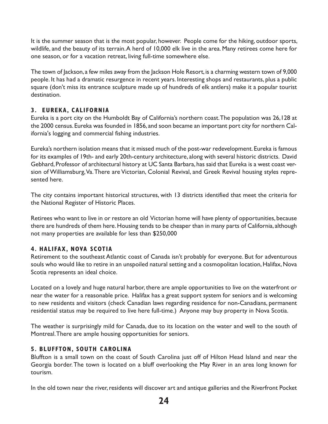It is the summer season that is the most popular, however. People come for the hiking, outdoor sports, wildlife, and the beauty of its terrain.A herd of 10,000 elk live in the area. Many retirees come here for one season, or for a vacation retreat, living full-time somewhere else.

The town of Jackson, a few miles away from the Jackson Hole Resort, is a charming western town of 9,000 people. It has had a dramatic resurgence in recent years. Interesting shops and restaurants, plus a public square (don't miss its entrance sculpture made up of hundreds of elk antlers) make it a popular tourist destination.

#### **3. EUREKA, CALIFORNIA**

Eureka is a port city on the Humboldt Bay of California's northern coast.The population was 26,128 at the 2000 census. Eureka was founded in 1856, and soon became an important port city for northern California's logging and commercial fishing industries.

Eureka's northern isolation means that it missed much of the post-war redevelopment. Eureka is famous for its examples of 19th- and early 20th-century architecture, along with several historic districts. David Gebhard, Professor of architectural history at UC Santa Barbara, has said that Eureka is a west coast version of Williamsburg, Va. There are Victorian, Colonial Revival, and Greek Revival housing styles represented here.

The city contains important historical structures, with 13 districts identified that meet the criteria for the National Register of Historic Places.

Retirees who want to live in or restore an old Victorian home will have plenty of opportunities, because there are hundreds of them here.Housing tends to be cheaper than in many parts of California, although not many properties are available for less than \$250,000

#### **4. HALIFAX, NOVA SCOTIA**

Retirement to the southeast Atlantic coast of Canada isn't probably for everyone. But for adventurous souls who would like to retire in an unspoiled natural setting and a cosmopolitan location, Halifax, Nova Scotia represents an ideal choice.

Located on a lovely and huge natural harbor, there are ample opportunities to live on the waterfront or near the water for a reasonable price. Halifax has a great support system for seniors and is welcoming to new residents and visitors (check Canadian laws regarding residence for non-Canadians, permanent residential status may be required to live here full-time.) Anyone may buy property in Nova Scotia.

The weather is surprisingly mild for Canada, due to its location on the water and well to the south of Montreal.There are ample housing opportunities for seniors.

#### **5. BLUFFTON, SOUTH CAROLINA**

Bluffton is a small town on the coast of South Carolina just off of Hilton Head Island and near the Georgia border.The town is located on a bluff overlooking the May River in an area long known for tourism.

In the old town near the river, residents will discover art and antique galleries and the Riverfront Pocket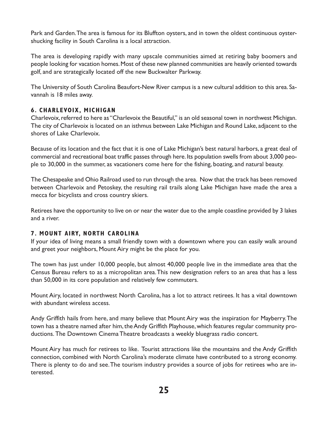Park and Garden.The area is famous for its Bluffton oysters, and in town the oldest continuous oystershucking facility in South Carolina is a local attraction.

The area is developing rapidly with many upscale communities aimed at retiring baby boomers and people looking for vacation homes.Most of these new planned communities are heavily oriented towards golf, and are strategically located off the new Buckwalter Parkway.

The University of South Carolina Beaufort-New River campus is a new cultural addition to this area. Savannah is 18 miles away.

#### **6. CHARLEVOIX, MICHIGAN**

Charlevoix, referred to here as "Charlevoix the Beautiful," is an old seasonal town in northwest Michigan. The city of Charlevoix is located on an isthmus between Lake Michigan and Round Lake, adjacent to the shores of Lake Charlevoix.

Because of its location and the fact that it is one of Lake Michigan's best natural harbors, a great deal of commercial and recreational boat traffic passes through here. Its population swells from about 3,000 people to 30,000 in the summer, as vacationers come here for the fishing, boating, and natural beauty.

The Chesapeake and Ohio Railroad used to run through the area. Now that the track has been removed between Charlevoix and Petoskey, the resulting rail trails along Lake Michigan have made the area a mecca for bicyclists and cross country skiers.

Retirees have the opportunity to live on or near the water due to the ample coastline provided by 3 lakes and a river.

#### **7. MOUNT AIRY, NORTH CAROLINA**

If your idea of living means a small friendly town with a downtown where you can easily walk around and greet your neighbors, Mount Airy might be the place for you.

The town has just under 10,000 people, but almost 40,000 people live in the immediate area that the Census Bureau refers to as a micropolitan area.This new designation refers to an area that has a less than 50,000 in its core population and relatively few commuters.

Mount Airy, located in northwest North Carolina, has a lot to attract retirees. It has a vital downtown with abundant wireless access.

Andy Griffith hails from here, and many believe that Mount Airy was the inspiration for Mayberry.The town has a theatre named after him, the Andy Griffith Playhouse, which features regular community productions. The Downtown Cinema Theatre broadcasts a weekly bluegrass radio concert.

Mount Airy has much for retirees to like. Tourist attractions like the mountains and the Andy Griffith connection, combined with North Carolina's moderate climate have contributed to a strong economy. There is plenty to do and see.The tourism industry provides a source of jobs for retirees who are interested.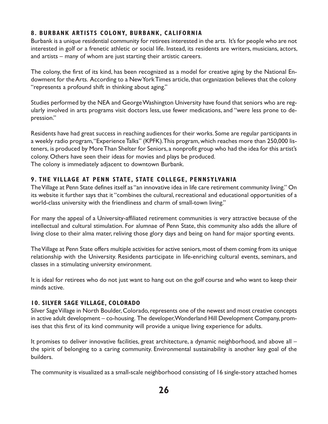#### **8. BURBANK ARTISTS COLONY, BURBANK, CALIFORNIA**

Burbank is a unique residential community for retirees interested in the arts. It's for people who are not interested in golf or a frenetic athletic or social life. Instead, its residents are writers, musicians, actors, and artists – many of whom are just starting their artistic careers.

The colony, the first of its kind, has been recognized as a model for creative aging by the National Endowment for the Arts. According to a New York Times article, that organization believes that the colony "represents a profound shift in thinking about aging."

Studies performed by the NEA and GeorgeWashington University have found that seniors who are regularly involved in arts programs visit doctors less, use fewer medications, and "were less prone to depression."

Residents have had great success in reaching audiences for their works. Some are regular participants in a weekly radio program, "Experience Talks" (KPFK). This program, which reaches more than 250,000 listeners, is produced by More Than Shelter for Seniors, a nonprofit group who had the idea for this artist's colony. Others have seen their ideas for movies and plays be produced. The colony is immediately adjacent to downtown Burbank.

#### **9. THE VILLAGE AT PENN STATE, STATE COLLEGE, PENNSYLVANIA**

TheVillage at Penn State defines itself as "an innovative idea in life care retirement community living." On its website it further says that it "combines the cultural, recreational and educational opportunities of a world-class university with the friendliness and charm of small-town living."

For many the appeal of a University-affiliated retirement communities is very attractive because of the intellectual and cultural stimulation. For alumnae of Penn State, this community also adds the allure of living close to their alma mater, reliving those glory days and being on hand for major sporting events.

The Village at Penn State offers multiple activities for active seniors, most of them coming from its unique relationship with the University. Residents participate in life-enriching cultural events, seminars, and classes in a stimulating university environment.

It is ideal for retirees who do not just want to hang out on the golf course and who want to keep their minds active.

#### **10. SILVER SAGE VILLAGE, COLORADO**

Silver Sage Village in North Boulder, Colorado, represents one of the newest and most creative concepts in active adult development – co-housing. The developer,Wonderland Hill Development Company, promises that this first of its kind community will provide a unique living experience for adults.

It promises to deliver innovative facilities, great architecture, a dynamic neighborhood, and above all – the spirit of belonging to a caring community. Environmental sustainability is another key goal of the builders.

The community is visualized as a small-scale neighborhood consisting of 16 single-story attached homes